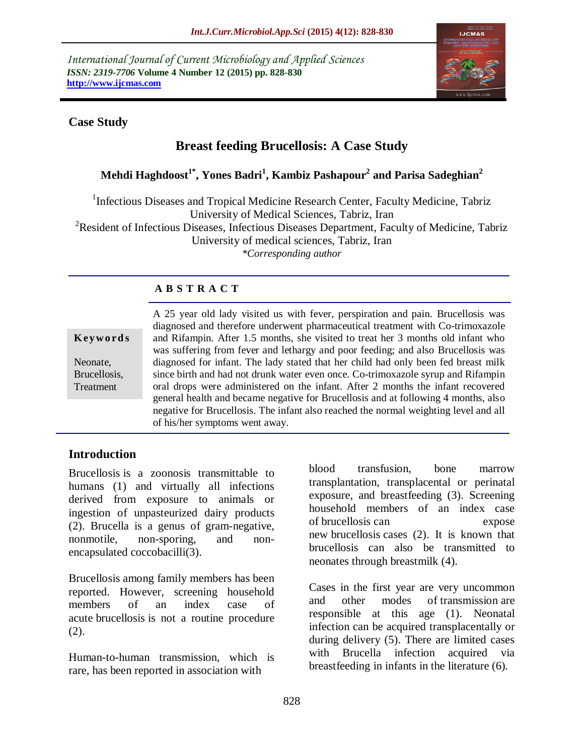*International Journal of Current Microbiology and Applied Sciences ISSN: 2319-7706* **Volume 4 Number 12 (2015) pp. 828-830 http://www.ijcmas.com** 



#### **Case Study**

# **Breast feeding Brucellosis: A Case Study**

## **Mehdi Haghdoost1\* , Yones Badri<sup>1</sup> , Kambiz Pashapour<sup>2</sup> and Parisa Sadeghian<sup>2</sup>**

<sup>1</sup>Infectious Diseases and Tropical Medicine Research Center, Faculty Medicine, Tabriz University of Medical Sciences, Tabriz, Iran <sup>2</sup>Resident of Infectious Diseases, Infectious Diseases Department, Faculty of Medicine, Tabriz University of medical sciences, Tabriz, Iran *\*Corresponding author*

#### **A B S T R A C T**

| Keywords                              |
|---------------------------------------|
| Neonate.<br>Brucellosis,<br>Treatment |

A 25 year old lady visited us with fever, perspiration and pain. Brucellosis was diagnosed and therefore underwent pharmaceutical treatment with Co-trimoxazole and Rifampin. After 1.5 months, she visited to treat her 3 months old infant who was suffering from fever and lethargy and poor feeding; and also Brucellosis was diagnosed for infant. The lady stated that her child had only been fed breast milk since birth and had not drunk water even once. Co-trimoxazole syrup and Rifampin oral drops were administered on the infant. After 2 months the infant recovered general health and became negative for Brucellosis and at following 4 months, also negative for Brucellosis. The infant also reached the normal weighting level and all of his/her symptoms went away.

#### **Introduction**

Brucellosis is a zoonosis transmittable to humans (1) and virtually all infections derived from exposure to animals or ingestion of unpasteurized dairy products (2). Brucella is a genus of gram-negative, nonmotile, non-sporing, and nonencapsulated coccobacilli(3).

Brucellosis among family members has been reported. However, screening household members of an index case of acute brucellosis is not a routine procedure (2).

Human-to-human transmission, which is rare, has been reported in association with

blood transfusion, bone marrow transplantation, transplacental or perinatal exposure, and breastfeeding (3). Screening household members of an index case of brucellosis can expose new brucellosis cases (2). It is known that brucellosis can also be transmitted to neonates through breastmilk (4).

Cases in the first year are very uncommon and other modes of transmission are responsible at this age (1). Neonatal infection can be acquired transplacentally or during delivery (5). There are limited cases with Brucella infection acquired via breastfeeding in infants in the literature (6).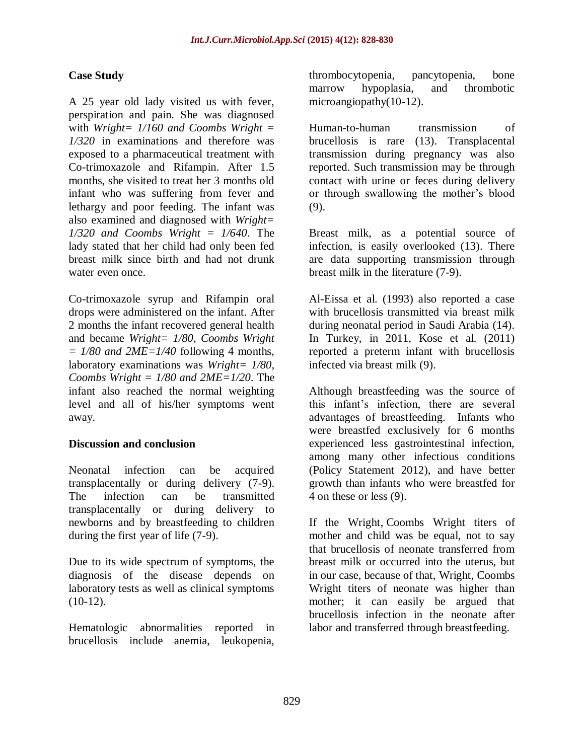### **Case Study**

A 25 year old lady visited us with fever, perspiration and pain. She was diagnosed with *Wright= 1/160 and Coombs Wright = 1/320* in examinations and therefore was exposed to a pharmaceutical treatment with Co-trimoxazole and Rifampin. After 1.5 months, she visited to treat her 3 months old infant who was suffering from fever and lethargy and poor feeding. The infant was also examined and diagnosed with *Wright= 1/320 and Coombs Wright = 1/640*. The lady stated that her child had only been fed breast milk since birth and had not drunk water even once.

Co-trimoxazole syrup and Rifampin oral drops were administered on the infant. After 2 months the infant recovered general health and became *Wright= 1/80, Coombs Wright*   $= 1/80$  *and*  $2ME = 1/40$  *following 4 months,* laboratory examinations was *Wright= 1/80, Coombs Wright = 1/80 and 2ME=1/20*. The infant also reached the normal weighting level and all of his/her symptoms went away.

#### **Discussion and conclusion**

Neonatal infection can be acquired transplacentally or during delivery (7-9). The infection can be transmitted transplacentally or during delivery to newborns and by breastfeeding to children during the first year of life (7-9).

Due to its wide spectrum of symptoms, the diagnosis of the disease depends on laboratory tests as well as clinical symptoms  $(10-12)$ .

Hematologic abnormalities reported in brucellosis include anemia, leukopenia,

thrombocytopenia, pancytopenia, bone marrow hypoplasia, and thrombotic microangiopathy(10-12).

Human-to-human transmission of brucellosis is rare (13). Transplacental transmission during pregnancy was also reported. Such transmission may be through contact with urine or feces during delivery or through swallowing the mother's blood (9).

Breast milk, as a potential source of infection, is easily overlooked (13). There are data supporting transmission through breast milk in the literature (7-9).

Al-Eissa et al. (1993) also reported a case with brucellosis transmitted via breast milk during neonatal period in Saudi Arabia (14). In Turkey, in 2011, Kose et al. (2011) reported a preterm infant with brucellosis infected via breast milk (9).

Although breastfeeding was the source of this infant's infection, there are several advantages of breastfeeding. Infants who were breastfed exclusively for 6 months experienced less gastrointestinal infection, among many other infectious conditions (Policy Statement 2012), and have better growth than infants who were breastfed for 4 on these or less (9).

If the Wright, Coombs Wright titers of mother and child was be equal, not to say that brucellosis of neonate transferred from breast milk or occurred into the uterus, but in our case, because of that, Wright, Coombs Wright titers of neonate was higher than mother; it can easily be argued that brucellosis infection in the neonate after labor and transferred through breastfeeding.